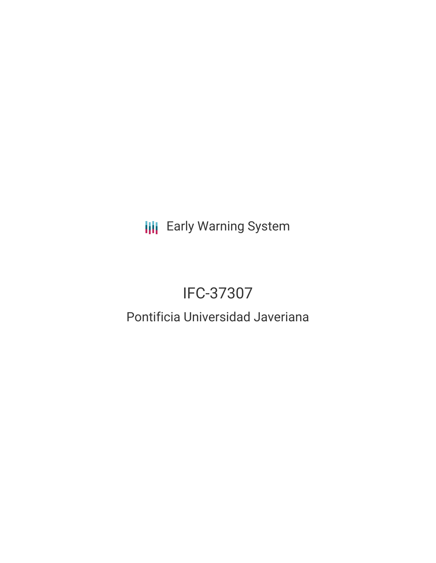**III** Early Warning System

# IFC-37307

## Pontificia Universidad Javeriana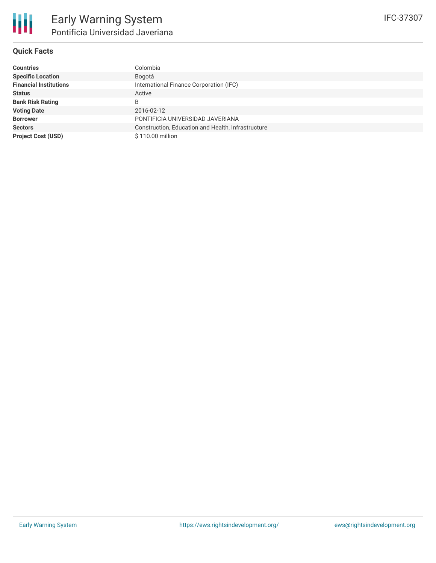#### **Quick Facts**

| <b>Countries</b>              | Colombia                                           |
|-------------------------------|----------------------------------------------------|
| <b>Specific Location</b>      | Bogotá                                             |
| <b>Financial Institutions</b> | International Finance Corporation (IFC)            |
| <b>Status</b>                 | Active                                             |
| <b>Bank Risk Rating</b>       | B                                                  |
| <b>Voting Date</b>            | 2016-02-12                                         |
| <b>Borrower</b>               | PONTIFICIA UNIVERSIDAD JAVERIANA                   |
| <b>Sectors</b>                | Construction, Education and Health, Infrastructure |
| <b>Project Cost (USD)</b>     | \$110.00 million                                   |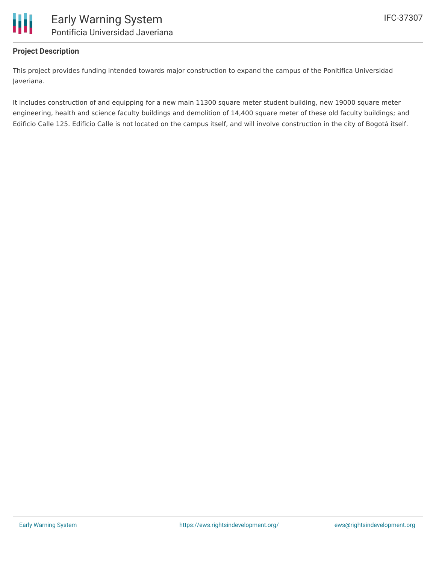

### **Project Description**

This project provides funding intended towards major construction to expand the campus of the Ponitifica Universidad Javeriana.

It includes construction of and equipping for a new main 11300 square meter student building, new 19000 square meter engineering, health and science faculty buildings and demolition of 14,400 square meter of these old faculty buildings; and Edificio Calle 125. Edificio Calle is not located on the campus itself, and will involve construction in the city of Bogotá itself.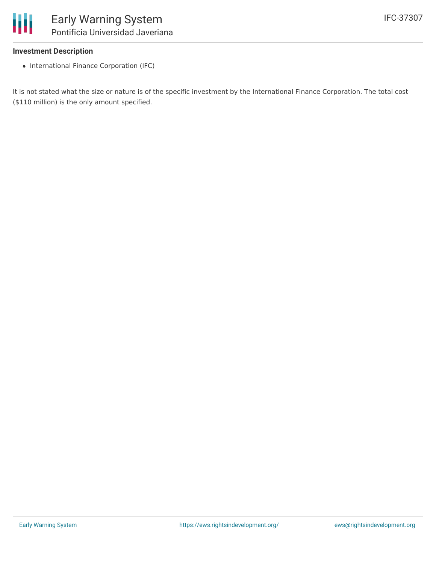

#### **Investment Description**

• International Finance Corporation (IFC)

It is not stated what the size or nature is of the specific investment by the International Finance Corporation. The total cost (\$110 million) is the only amount specified.